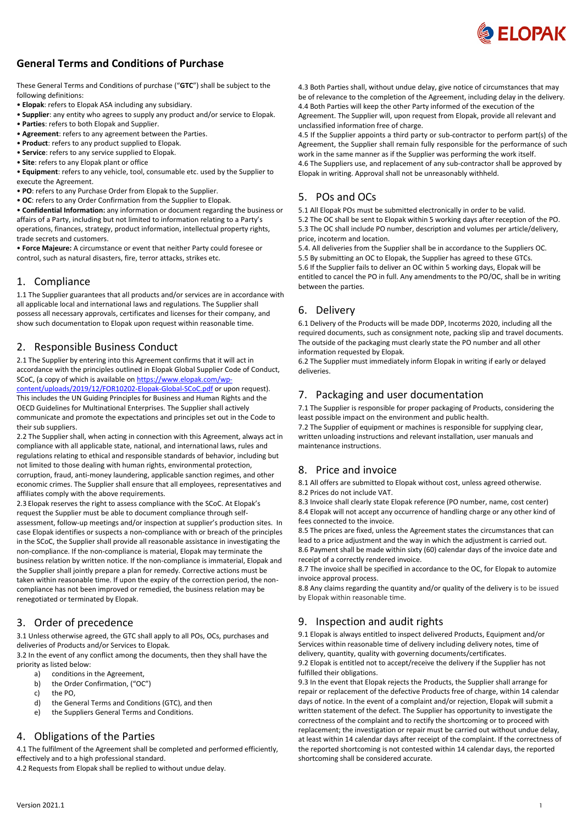

# **General Terms and Conditions of Purchase**

These General Terms and Conditions of purchase ("**GTC**") shall be subject to the following definitions:

- **Elopak**: refers to Elopak ASA including any subsidiary.
- **Supplier**: any entity who agrees to supply any product and/or service to Elopak.
- **Parties**: refers to both Elopak and Supplier.
- **Agreement**: refers to any agreement between the Parties.
- **Product**: refers to any product supplied to Elopak.
- **Service**: refers to any service supplied to Elopak. • **Site**: refers to any Elopak plant or office
- 

• **Equipment**: refers to any vehicle, tool, consumable etc. used by the Supplier to execute the Agreement.

- **PO**: refers to any Purchase Order from Elopak to the Supplier.
- **OC**: refers to any Order Confirmation from the Supplier to Elopak.

• **Confidential Information:** any information or document regarding the business or affairs of a Party, including but not limited to information relating to a Party's operations, finances, strategy, product information, intellectual property rights, trade secrets and customers.

• **Force Majeure:** A circumstance or event that neither Party could foresee or control, such as natural disasters, fire, terror attacks, strikes etc.

#### 1. Compliance

1.1 The Supplier guarantees that all products and/or services are in accordance with all applicable local and international laws and regulations. The Supplier shall possess all necessary approvals, certificates and licenses for their company, and show such documentation to Elopak upon request within reasonable time.

#### 2. Responsible Business Conduct

2.1 The Supplier by entering into this Agreement confirms that it will act in accordance with the principles outlined in Elopak Global Supplier Code of Conduct, SCoC, (a copy of which is available on [https://www.elopak.com/wp-](https://www.elopak.com/wp-content/uploads/2019/12/FOR10202-Elopak-Global-SCoC.pdf)

[content/uploads/2019/12/FOR10202-Elopak-Global-SCoC.pdf](https://www.elopak.com/wp-content/uploads/2019/12/FOR10202-Elopak-Global-SCoC.pdf) or upon request). This includes the UN Guiding Principles for Business and Human Rights and the OECD Guidelines for Multinational Enterprises. The Supplier shall actively communicate and promote the expectations and principles set out in the Code to their sub suppliers.

2.2 The Supplier shall, when acting in connection with this Agreement, always act in compliance with all applicable state, national, and international laws, rules and regulations relating to ethical and responsible standards of behavior, including but not limited to those dealing with human rights, environmental protection, corruption, fraud, anti-money laundering, applicable sanction regimes, and other economic crimes. The Supplier shall ensure that all employees, representatives and affiliates comply with the above requirements.

2.3 Elopak reserves the right to assess compliance with the SCoC. At Elopak's request the Supplier must be able to document compliance through selfassessment, follow-up meetings and/or inspection at supplier's production sites. In case Elopak identifies or suspects a non-compliance with or breach of the principles in the SCoC, the Supplier shall provide all reasonable assistance in investigating the non-compliance. If the non-compliance is material, Elopak may terminate the business relation by written notice. If the non-compliance is immaterial, Elopak and the Supplier shall jointly prepare a plan for remedy. Corrective actions must be taken within reasonable time. If upon the expiry of the correction period, the noncompliance has not been improved or remedied, the business relation may be renegotiated or terminated by Elopak.

## 3. Order of precedence

3.1 Unless otherwise agreed, the GTC shall apply to all POs, OCs, purchases and deliveries of Products and/or Services to Elopak.

3.2 In the event of any conflict among the documents, then they shall have the priority as listed below:

- a) conditions in the Agreement,
- b) the Order Confirmation, ("OC")
- c) the PO,
- d) the General Terms and Conditions (GTC), and then
- e) the Suppliers General Terms and Conditions.

### 4. Obligations of the Parties

4.1 The fulfilment of the Agreement shall be completed and performed efficiently, effectively and to a high professional standard.

4.2 Requests from Elopak shall be replied to without undue delay.

4.3 Both Parties shall, without undue delay, give notice of circumstances that may be of relevance to the completion of the Agreement, including delay in the delivery. 4.4 Both Parties will keep the other Party informed of the execution of the Agreement. The Supplier will, upon request from Elopak, provide all relevant and unclassified information free of charge.

4.5 If the Supplier appoints a third party or sub-contractor to perform part(s) of the Agreement, the Supplier shall remain fully responsible for the performance of such work in the same manner as if the Supplier was performing the work itself. 4.6 The Suppliers use, and replacement of any sub-contractor shall be approved by Elopak in writing. Approval shall not be unreasonably withheld.

# 5. POs and OCs

5.1 All Elopak POs must be submitted electronically in order to be valid. 5.2 The OC shall be sent to Elopak within 5 working days after reception of the PO. 5.3 The OC shall include PO number, description and volumes per article/delivery, price, incoterm and location.

5.4. All deliveries from the Supplier shall be in accordance to the Suppliers OC. 5.5 By submitting an OC to Elopak, the Supplier has agreed to these GTCs. 5.6 If the Supplier fails to deliver an OC within 5 working days, Elopak will be entitled to cancel the PO in full. Any amendments to the PO/OC, shall be in writing between the parties.

#### 6. Delivery

6.1 Delivery of the Products will be made DDP, Incoterms 2020, including all the required documents, such as consignment note, packing slip and travel documents. The outside of the packaging must clearly state the PO number and all other information requested by Elopak.

6.2 The Supplier must immediately inform Elopak in writing if early or delayed deliveries.

#### 7. Packaging and user documentation

7.1 The Supplier is responsible for proper packaging of Products, considering the least possible impact on the environment and public health.

7.2 The Supplier of equipment or machines is responsible for supplying clear, written unloading instructions and relevant installation, user manuals and maintenance instructions.

# 8. Price and invoice

8.1 All offers are submitted to Elopak without cost, unless agreed otherwise. 8.2 Prices do not include VAT.

8.3 Invoice shall clearly state Elopak reference (PO number, name, cost center) 8.4 Elopak will not accept any occurrence of handling charge or any other kind of fees connected to the invoice.

8.5 The prices are fixed, unless the Agreement states the circumstances that can lead to a price adjustment and the way in which the adjustment is carried out. 8.6 Payment shall be made within sixty (60) calendar days of the invoice date and receipt of a correctly rendered invoice.

8.7 The invoice shall be specified in accordance to the OC, for Elopak to automize invoice approval process.

8.8 Any claims regarding the quantity and/or quality of the delivery is to be issued by Elopak within reasonable time.

## 9. Inspection and audit rights

9.1 Elopak is always entitled to inspect delivered Products, Equipment and/or Services within reasonable time of delivery including delivery notes, time of delivery, quantity, quality with governing documents/certificates.

9.2 Elopak is entitled not to accept/receive the delivery if the Supplier has not fulfilled their obligations.

9.3 In the event that Elopak rejects the Products, the Supplier shall arrange for repair or replacement of the defective Products free of charge, within 14 calendar days of notice. In the event of a complaint and/or rejection, Elopak will submit a written statement of the defect. The Supplier has opportunity to investigate the correctness of the complaint and to rectify the shortcoming or to proceed with replacement; the investigation or repair must be carried out without undue delay, at least within 14 calendar days after receipt of the complaint. If the correctness of the reported shortcoming is not contested within 14 calendar days, the reported shortcoming shall be considered accurate.